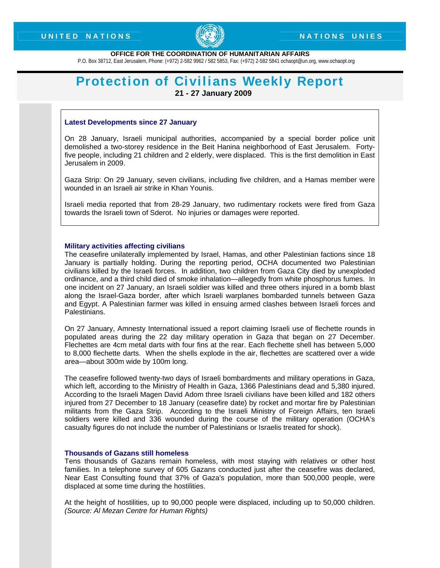

## **OFFICE FOR THE COORDINATION OF HUMANITARIAN AFFAIRS**

P.O. Box 38712, East Jerusalem, Phone: (+972) 2-582 9962 / 582 5853, Fax: (+972) 2-582 5841 ochaopt@un.org, www.ochaopt.org

# **Protection of Civilians Weekly Report 21 - 27 January 2009**

## **Latest Developments since 27 January**

On 28 January, Israeli municipal authorities, accompanied by a special border police unit demolished a two-storey residence in the Beit Hanina neighborhood of East Jerusalem. Fortyfive people, including 21 children and 2 elderly, were displaced. This is the first demolition in East Jerusalem in 2009.

Gaza Strip: On 29 January, seven civilians, including five children, and a Hamas member were wounded in an Israeli air strike in Khan Younis.

Israeli media reported that from 28-29 January, two rudimentary rockets were fired from Gaza towards the Israeli town of Sderot. No injuries or damages were reported.

#### **Military activities affecting civilians**

The ceasefire unilaterally implemented by Israel, Hamas, and other Palestinian factions since 18 January is partially holding. During the reporting period, OCHA documented two Palestinian civilians killed by the Israeli forces. In addition, two children from Gaza City died by unexploded ordinance, and a third child died of smoke inhalation—allegedly from white phosphorus fumes. In one incident on 27 January, an Israeli soldier was killed and three others injured in a bomb blast along the Israel-Gaza border, after which Israeli warplanes bombarded tunnels between Gaza and Egypt. A Palestinian farmer was killed in ensuing armed clashes between Israeli forces and Palestinians.

On 27 January, Amnesty International issued a report claiming Israeli use of flechette rounds in populated areas during the 22 day military operation in Gaza that began on 27 December. Flechettes are 4cm metal darts with four fins at the rear. Each flechette shell has between 5,000 to 8,000 flechette darts. When the shells explode in the air, flechettes are scattered over a wide area—about 300m wide by 100m long.

The ceasefire followed twenty-two days of Israeli bombardments and military operations in Gaza, which left, according to the Ministry of Health in Gaza, 1366 Palestinians dead and 5,380 injured. According to the Israeli Magen David Adom three Israeli civilians have been killed and 182 others injured from 27 December to 18 January (ceasefire date) by rocket and mortar fire by Palestinian militants from the Gaza Strip. According to the Israeli Ministry of Foreign Affairs, ten Israeli soldiers were killed and 336 wounded during the course of the military operation (OCHA's casualty figures do not include the number of Palestinians or Israelis treated for shock).

### **Thousands of Gazans still homeless**

Tens thousands of Gazans remain homeless, with most staying with relatives or other host families. In a telephone survey of 605 Gazans conducted just after the ceasefire was declared, Near East Consulting found that 37% of Gaza's population, more than 500,000 people, were displaced at some time during the hostilities.

At the height of hostilities, up to 90,000 people were displaced, including up to 50,000 children. *(Source: Al Mezan Centre for Human Rights)*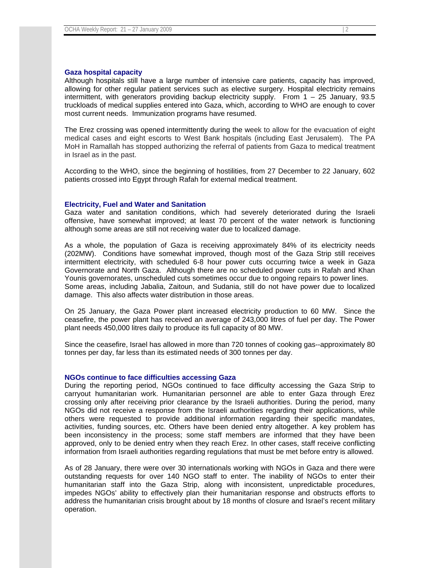Although hospitals still have a large number of intensive care patients, capacity has improved, allowing for other regular patient services such as elective surgery. Hospital electricity remains intermittent, with generators providing backup electricity supply. From 1 – 25 January, 93.5 truckloads of medical supplies entered into Gaza, which, according to WHO are enough to cover most current needs. Immunization programs have resumed.

The Erez crossing was opened intermittently during the week to allow for the evacuation of eight medical cases and eight escorts to West Bank hospitals (including East Jerusalem). The PA MoH in Ramallah has stopped authorizing the referral of patients from Gaza to medical treatment in Israel as in the past.

According to the WHO, since the beginning of hostilities, from 27 December to 22 January, 602 patients crossed into Egypt through Rafah for external medical treatment.

#### **Electricity, Fuel and Water and Sanitation**

Gaza water and sanitation conditions, which had severely deteriorated during the Israeli offensive, have somewhat improved; at least 70 percent of the water network is functioning although some areas are still not receiving water due to localized damage.

As a whole, the population of Gaza is receiving approximately 84% of its electricity needs (202MW). Conditions have somewhat improved, though most of the Gaza Strip still receives intermittent electricity, with scheduled 6-8 hour power cuts occurring twice a week in Gaza Governorate and North Gaza. Although there are no scheduled power cuts in Rafah and Khan Younis governorates, unscheduled cuts sometimes occur due to ongoing repairs to power lines. Some areas, including Jabalia, Zaitoun, and Sudania, still do not have power due to localized damage. This also affects water distribution in those areas.

On 25 January, the Gaza Power plant increased electricity production to 60 MW. Since the ceasefire, the power plant has received an average of 243,000 litres of fuel per day. The Power plant needs 450,000 litres daily to produce its full capacity of 80 MW.

Since the ceasefire, Israel has allowed in more than 720 tonnes of cooking gas--approximately 80 tonnes per day, far less than its estimated needs of 300 tonnes per day.

#### **NGOs continue to face difficulties accessing Gaza**

During the reporting period, NGOs continued to face difficulty accessing the Gaza Strip to carryout humanitarian work. Humanitarian personnel are able to enter Gaza through Erez crossing only after receiving prior clearance by the Israeli authorities. During the period, many NGOs did not receive a response from the Israeli authorities regarding their applications, while others were requested to provide additional information regarding their specific mandates, activities, funding sources, etc. Others have been denied entry altogether. A key problem has been inconsistency in the process; some staff members are informed that they have been approved, only to be denied entry when they reach Erez. In other cases, staff receive conflicting information from Israeli authorities regarding regulations that must be met before entry is allowed.

As of 28 January, there were over 30 internationals working with NGOs in Gaza and there were outstanding requests for over 140 NGO staff to enter. The inability of NGOs to enter their humanitarian staff into the Gaza Strip, along with inconsistent, unpredictable procedures, impedes NGOs' ability to effectively plan their humanitarian response and obstructs efforts to address the humanitarian crisis brought about by 18 months of closure and Israel's recent military operation.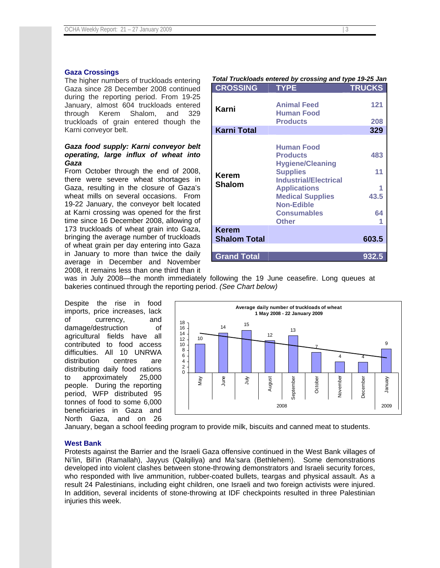## **Gaza Crossings**

The higher numbers of truckloads entering Gaza since 28 December 2008 continued during the reporting period. From 19-25 January, almost 604 truckloads entered through Kerem Shalom, and 329 truckloads of grain entered though the Karni conveyor belt.

# *Gaza food supply: Karni conveyor belt operating, large influx of wheat into Gaza*

From October through the end of 2008, there were severe wheat shortages in Gaza, resulting in the closure of Gaza's wheat mills on several occasions. From 19-22 January, the conveyor belt located at Karni crossing was opened for the first time since 16 December 2008, allowing of 173 truckloads of wheat grain into Gaza, bringing the average number of truckloads of wheat grain per day entering into Gaza in January to more than twice the daily average in December and November 2008, it remains less than one third than it

| Total Truckloads entered by crossing and type 19-25 Jan |                                                                                                                                                                                                                                 |                         |
|---------------------------------------------------------|---------------------------------------------------------------------------------------------------------------------------------------------------------------------------------------------------------------------------------|-------------------------|
| <b>CROSSING</b>                                         | <b>TYPE</b>                                                                                                                                                                                                                     | <b>TRUCKS</b>           |
| Karni                                                   | <b>Animal Feed</b><br><b>Human Food</b><br><b>Products</b>                                                                                                                                                                      | 121<br>208              |
| <b>Karni Total</b>                                      |                                                                                                                                                                                                                                 | 329                     |
| <b>Kerem</b><br><b>Shalom</b>                           | <b>Human Food</b><br><b>Products</b><br><b>Hygiene/Cleaning</b><br><b>Supplies</b><br><b>Industrial/Electrical</b><br><b>Applications</b><br><b>Medical Supplies</b><br><b>Non-Edible</b><br><b>Consumables</b><br><b>Other</b> | 483<br>11<br>43.5<br>64 |
| <b>Kerem</b><br><b>Shalom Total</b>                     |                                                                                                                                                                                                                                 | 603.5                   |
| <b>Grand Total</b>                                      |                                                                                                                                                                                                                                 | 932.5                   |

*Total Truckloads entered by crossing and type 19-25 Jan* 

was in July 2008—the month immediately following the 19 June ceasefire. Long queues at bakeries continued through the reporting period. *(See Chart below)*

Despite the rise in food imports, price increases, lack of currency, and damage/destruction of agricultural fields have all contributed to food access difficulties. All 10 UNRWA distribution centres are distributing daily food rations to approximately 25,000 people. During the reporting period, WFP distributed 95 tonnes of food to some 6,000 beneficiaries in Gaza and North Gaza, and on 26



January, began a school feeding program to provide milk, biscuits and canned meat to students.

## **West Bank**

Protests against the Barrier and the Israeli Gaza offensive continued in the West Bank villages of Ni'lin, Bil'in (Ramallah), Jayyus (Qalqiliya) and Ma'sara (Bethlehem). Some demonstrations developed into violent clashes between stone-throwing demonstrators and Israeli security forces, who responded with live ammunition, rubber-coated bullets, teargas and physical assault. As a result 24 Palestinians, including eight children, one Israeli and two foreign activists were injured. In addition, several incidents of stone-throwing at IDF checkpoints resulted in three Palestinian injuries this week.